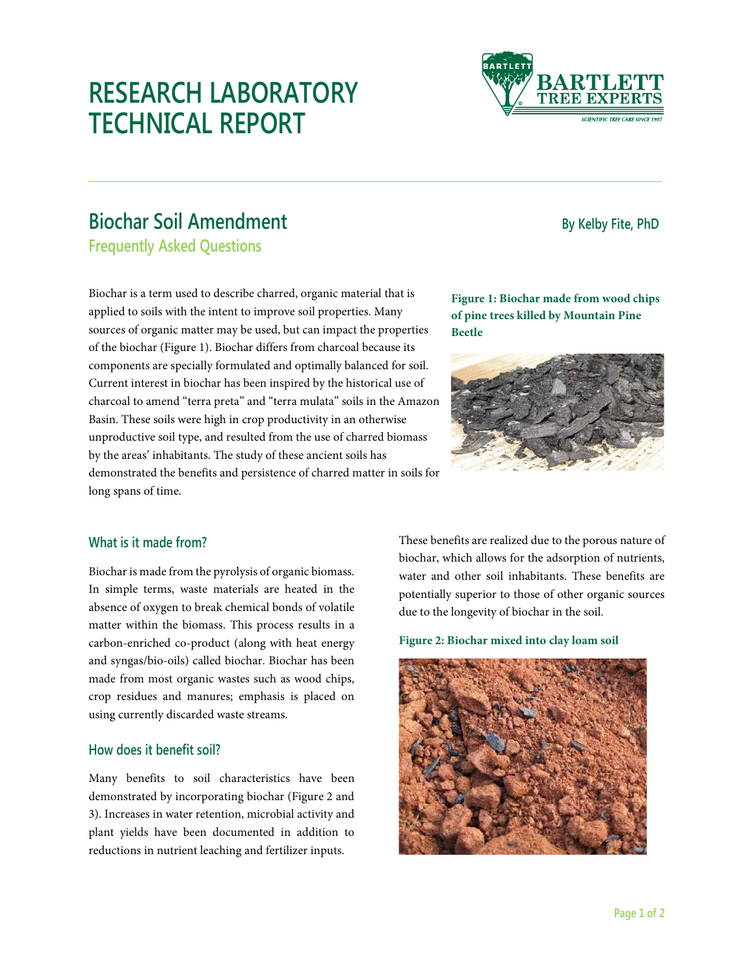# **RESEARCH LABORATORY TECHNICAL REPORT**

# **Biochar Soil Amendment Biochar Soil Amendment**

**Frequently Asked Questions** 

Biochar is a term used to describe charred, organic material that is applied to soils with the intent to improve soil properties. Many sources of organic matter may be used, but can impact the properties of the biochar (Figure 1). Biochar differs from charcoal because its components are specially formulated and optimally balanced for soil. Current interest in biochar has been inspired by the historical use of charcoal to amend "terra preta" and "terra mulata" soils in the Amazon Basin. These soils were high in crop productivity in an otherwise unproductive soil type, and resulted from the use of charred biomass by the areas' inhabitants. The study of these ancient soils has demonstrated the benefits and persistence of charred matter in soils for long spans of time.

## **Figure 1: Biochar made from wood chips of pine trees killed by Mountain Pine Beetle**



# **What is it made from?**

Biochar is made from the pyrolysis of organic biomass. In simple terms, waste materials are heated in the absence of oxygen to break chemical bonds of volatile matter within the biomass. This process results in a carbon-enriched co-product (along with heat energy and syngas/bio-oils) called biochar. Biochar has been made from most organic wastes such as wood chips, crop residues and manures; emphasis is placed on using currently discarded waste streams.

# **How does it benefit soil?**

Many benefits to soil characteristics have been demonstrated by incorporating biochar (Figure 2 and 3). Increases in water retention, microbial activity and plant yields have been documented in addition to reductions in nutrient leaching and fertilizer inputs.

These benefits are realized due to the porous nature of biochar, which allows for the adsorption of nutrients, water and other soil inhabitants. These benefits are potentially superior to those of other organic sources due to the longevity of biochar in the soil.

#### **Figure 2: Biochar mixed into clay loam soil**